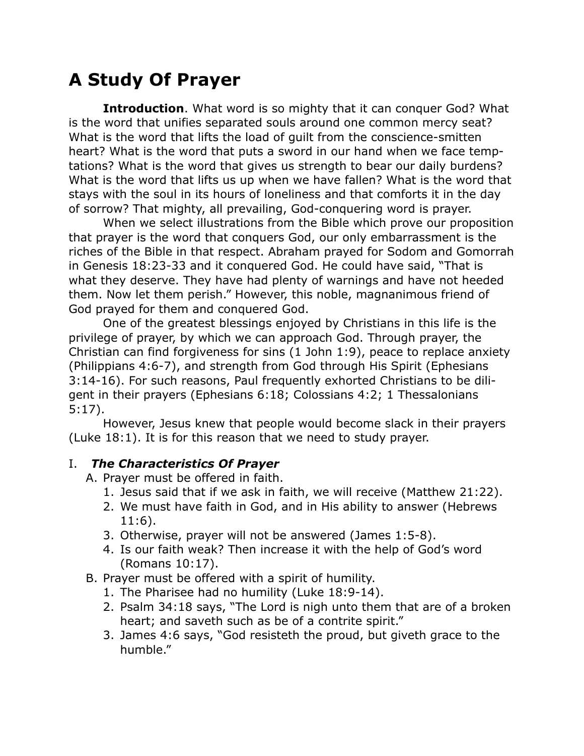# **A Study Of Prayer**

**Introduction**. What word is so mighty that it can conquer God? What is the word that unifies separated souls around one common mercy seat? What is the word that lifts the load of guilt from the conscience-smitten heart? What is the word that puts a sword in our hand when we face temptations? What is the word that gives us strength to bear our daily burdens? What is the word that lifts us up when we have fallen? What is the word that stays with the soul in its hours of loneliness and that comforts it in the day of sorrow? That mighty, all prevailing, God-conquering word is prayer.

When we select illustrations from the Bible which prove our proposition that prayer is the word that conquers God, our only embarrassment is the riches of the Bible in that respect. Abraham prayed for Sodom and Gomorrah in Genesis 18:23-33 and it conquered God. He could have said, "That is what they deserve. They have had plenty of warnings and have not heeded them. Now let them perish." However, this noble, magnanimous friend of God prayed for them and conquered God.

One of the greatest blessings enjoyed by Christians in this life is the privilege of prayer, by which we can approach God. Through prayer, the Christian can find forgiveness for sins (1 John 1:9), peace to replace anxiety (Philippians 4:6-7), and strength from God through His Spirit (Ephesians 3:14-16). For such reasons, Paul frequently exhorted Christians to be diligent in their prayers (Ephesians 6:18; Colossians 4:2; 1 Thessalonians 5:17).

However, Jesus knew that people would become slack in their prayers (Luke 18:1). It is for this reason that we need to study prayer.

#### I. *The Characteristics Of Prayer*

A. Prayer must be offered in faith.

- 1. Jesus said that if we ask in faith, we will receive (Matthew 21:22).
- 2. We must have faith in God, and in His ability to answer (Hebrews 11:6).
- 3. Otherwise, prayer will not be answered (James 1:5-8).
- 4. Is our faith weak? Then increase it with the help of God's word (Romans 10:17).
- B. Prayer must be offered with a spirit of humility.
	- 1. The Pharisee had no humility (Luke 18:9-14).
	- 2. Psalm 34:18 says, "The Lord is nigh unto them that are of a broken heart; and saveth such as be of a contrite spirit."
	- 3. James 4:6 says, "God resisteth the proud, but giveth grace to the humble."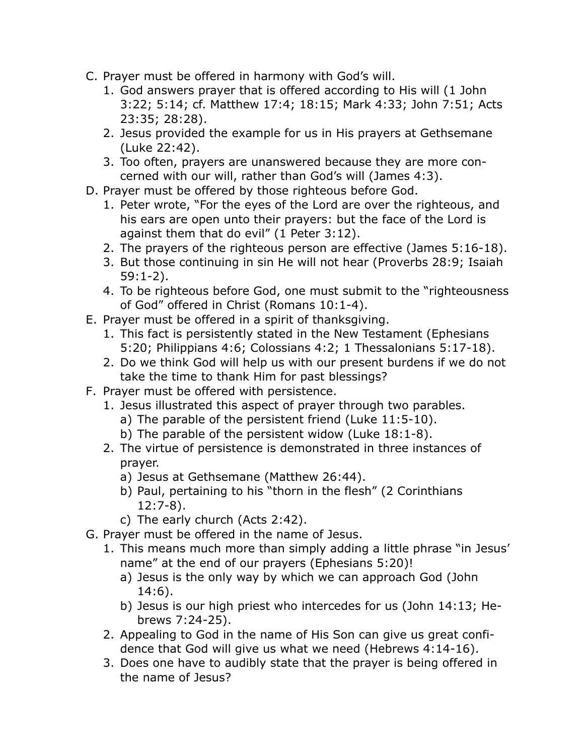- C. Prayer must be offered in harmony with God's will.
	- 1. God answers prayer that is offered according to His will (1 John 3:22; 5:14; cf. Matthew 17:4; 18:15; Mark 4:33; John 7:51; Acts 23:35; 28:28).
	- 2. Jesus provided the example for us in His prayers at Gethsemane (Luke 22:42).
	- 3. Too often, prayers are unanswered because they are more concerned with our will, rather than God's will (James 4:3).
- D. Prayer must be offered by those righteous before God.
	- 1. Peter wrote, "For the eyes of the Lord are over the righteous, and his ears are open unto their prayers: but the face of the Lord is against them that do evil" (1 Peter 3:12).
	- 2. The prayers of the righteous person are effective (James 5:16-18).
	- 3. But those continuing in sin He will not hear (Proverbs 28:9; Isaiah 59:1-2).
	- 4. To be righteous before God, one must submit to the "righteousness of God" offered in Christ (Romans 10:1-4).
- E. Prayer must be offered in a spirit of thanksgiving.
	- 1. This fact is persistently stated in the New Testament (Ephesians 5:20; Philippians 4:6; Colossians 4:2; 1 Thessalonians 5:17-18).
	- 2. Do we think God will help us with our present burdens if we do not take the time to thank Him for past blessings?
- F. Prayer must be offered with persistence.
	- 1. Jesus illustrated this aspect of prayer through two parables.
		- a) The parable of the persistent friend (Luke 11:5-10).
		- b) The parable of the persistent widow (Luke 18:1-8).
	- 2. The virtue of persistence is demonstrated in three instances of prayer.
		- a) Jesus at Gethsemane (Matthew 26:44).
		- b) Paul, pertaining to his "thorn in the flesh" (2 Corinthians 12:7-8).
		- c) The early church (Acts 2:42).
- G. Prayer must be offered in the name of Jesus.
	- 1. This means much more than simply adding a little phrase "in Jesus' name" at the end of our prayers (Ephesians 5:20)!
		- a) Jesus is the only way by which we can approach God (John 14:6).
		- b) Jesus is our high priest who intercedes for us (John 14:13; Hebrews 7:24-25).
	- 2. Appealing to God in the name of His Son can give us great confidence that God will give us what we need (Hebrews 4:14-16).
	- 3. Does one have to audibly state that the prayer is being offered in the name of Jesus?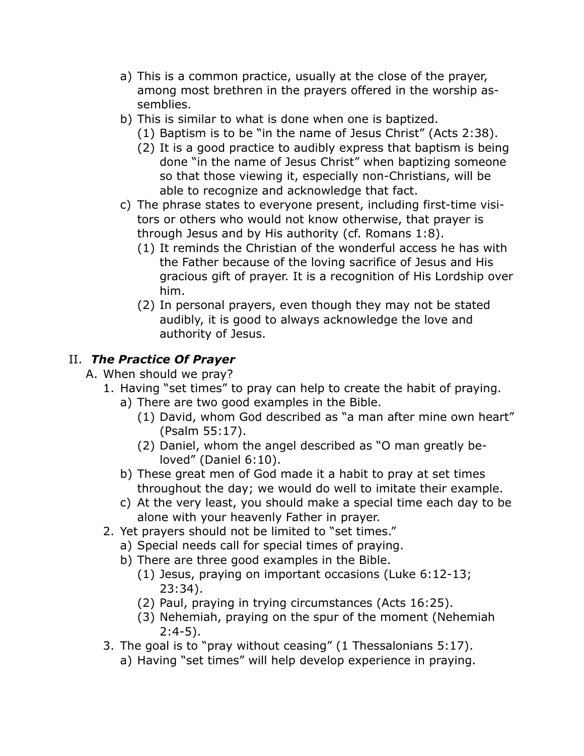- a) This is a common practice, usually at the close of the prayer, among most brethren in the prayers offered in the worship assemblies.
- b) This is similar to what is done when one is baptized.
	- (1) Baptism is to be "in the name of Jesus Christ" (Acts 2:38).
	- (2) It is a good practice to audibly express that baptism is being done "in the name of Jesus Christ" when baptizing someone so that those viewing it, especially non-Christians, will be able to recognize and acknowledge that fact.
- c) The phrase states to everyone present, including first-time visitors or others who would not know otherwise, that prayer is through Jesus and by His authority (cf. Romans 1:8).
	- (1) It reminds the Christian of the wonderful access he has with the Father because of the loving sacrifice of Jesus and His gracious gift of prayer. It is a recognition of His Lordship over him.
	- (2) In personal prayers, even though they may not be stated audibly, it is good to always acknowledge the love and authority of Jesus.

## II. *The Practice Of Prayer*

- A. When should we pray?
	- 1. Having "set times" to pray can help to create the habit of praying.
		- a) There are two good examples in the Bible.
			- (1) David, whom God described as "a man after mine own heart" (Psalm 55:17).
			- (2) Daniel, whom the angel described as "O man greatly beloved" (Daniel 6:10).
		- b) These great men of God made it a habit to pray at set times throughout the day; we would do well to imitate their example.
		- c) At the very least, you should make a special time each day to be alone with your heavenly Father in prayer.
	- 2. Yet prayers should not be limited to "set times."
		- a) Special needs call for special times of praying.
		- b) There are three good examples in the Bible.
			- (1) Jesus, praying on important occasions (Luke 6:12-13; 23:34).
			- (2) Paul, praying in trying circumstances (Acts 16:25).
			- (3) Nehemiah, praying on the spur of the moment (Nehemiah  $2:4-5$ ).
	- 3. The goal is to "pray without ceasing" (1 Thessalonians 5:17).
		- a) Having "set times" will help develop experience in praying.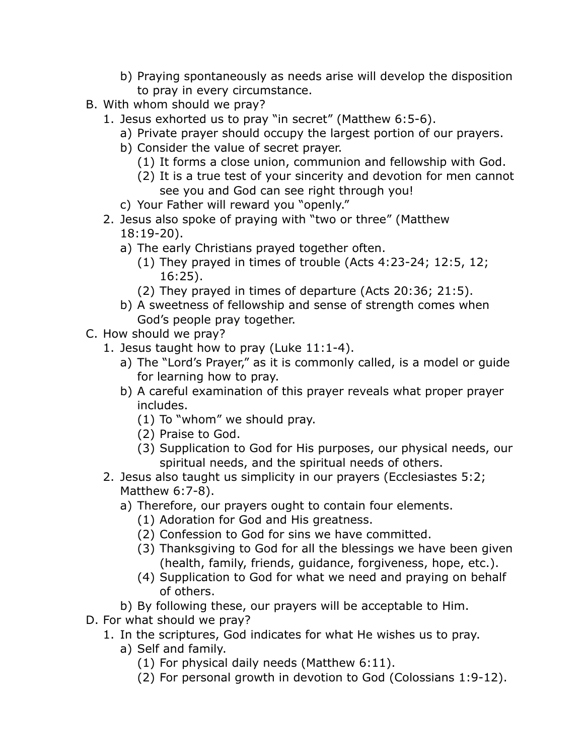- b) Praying spontaneously as needs arise will develop the disposition to pray in every circumstance.
- B. With whom should we pray?
	- 1. Jesus exhorted us to pray "in secret" (Matthew 6:5-6).
		- a) Private prayer should occupy the largest portion of our prayers.
		- b) Consider the value of secret prayer.
			- (1) It forms a close union, communion and fellowship with God.
			- (2) It is a true test of your sincerity and devotion for men cannot see you and God can see right through you!
		- c) Your Father will reward you "openly."
	- 2. Jesus also spoke of praying with "two or three" (Matthew 18:19-20).
		- a) The early Christians prayed together often.
			- (1) They prayed in times of trouble (Acts 4:23-24; 12:5, 12; 16:25).
			- (2) They prayed in times of departure (Acts 20:36; 21:5).
		- b) A sweetness of fellowship and sense of strength comes when God's people pray together.
- C. How should we pray?
	- 1. Jesus taught how to pray (Luke 11:1-4).
		- a) The "Lord's Prayer," as it is commonly called, is a model or guide for learning how to pray.
		- b) A careful examination of this prayer reveals what proper prayer includes.
			- (1) To "whom" we should pray.
			- (2) Praise to God.
			- (3) Supplication to God for His purposes, our physical needs, our spiritual needs, and the spiritual needs of others.
	- 2. Jesus also taught us simplicity in our prayers (Ecclesiastes 5:2; Matthew 6:7-8).
		- a) Therefore, our prayers ought to contain four elements.
			- (1) Adoration for God and His greatness.
			- (2) Confession to God for sins we have committed.
			- (3) Thanksgiving to God for all the blessings we have been given (health, family, friends, guidance, forgiveness, hope, etc.).
			- (4) Supplication to God for what we need and praying on behalf of others.
		- b) By following these, our prayers will be acceptable to Him.
- D. For what should we pray?
	- 1. In the scriptures, God indicates for what He wishes us to pray.
		- a) Self and family.
			- (1) For physical daily needs (Matthew 6:11).
			- (2) For personal growth in devotion to God (Colossians 1:9-12).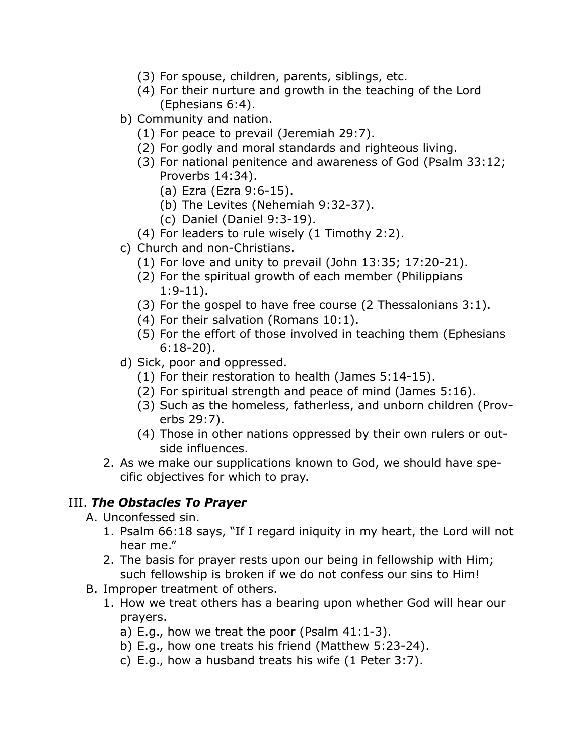- (3) For spouse, children, parents, siblings, etc.
- (4) For their nurture and growth in the teaching of the Lord (Ephesians 6:4).
- b) Community and nation.
	- (1) For peace to prevail (Jeremiah 29:7).
	- (2) For godly and moral standards and righteous living.
	- (3) For national penitence and awareness of God (Psalm 33:12; Proverbs 14:34).
		- (a) Ezra (Ezra 9:6-15).
		- (b) The Levites (Nehemiah 9:32-37).
		- (c) Daniel (Daniel 9:3-19).
	- (4) For leaders to rule wisely (1 Timothy 2:2).
- c) Church and non-Christians.
	- (1) For love and unity to prevail (John 13:35; 17:20-21).
	- (2) For the spiritual growth of each member (Philippians 1:9-11).
	- (3) For the gospel to have free course (2 Thessalonians 3:1).
	- (4) For their salvation (Romans 10:1).
	- (5) For the effort of those involved in teaching them (Ephesians 6:18-20).
- d) Sick, poor and oppressed.
	- (1) For their restoration to health (James 5:14-15).
	- (2) For spiritual strength and peace of mind (James 5:16).
	- (3) Such as the homeless, fatherless, and unborn children (Proverbs 29:7).
	- (4) Those in other nations oppressed by their own rulers or outside influences.
- 2. As we make our supplications known to God, we should have specific objectives for which to pray.

#### III. *The Obstacles To Prayer*

- A. Unconfessed sin.
	- 1. Psalm 66:18 says, "If I regard iniquity in my heart, the Lord will not hear me."
	- 2. The basis for prayer rests upon our being in fellowship with Him; such fellowship is broken if we do not confess our sins to Him!
- B. Improper treatment of others.
	- 1. How we treat others has a bearing upon whether God will hear our prayers.
		- a) E.g., how we treat the poor (Psalm 41:1-3).
		- b) E.g., how one treats his friend (Matthew 5:23-24).
		- c) E.g., how a husband treats his wife (1 Peter 3:7).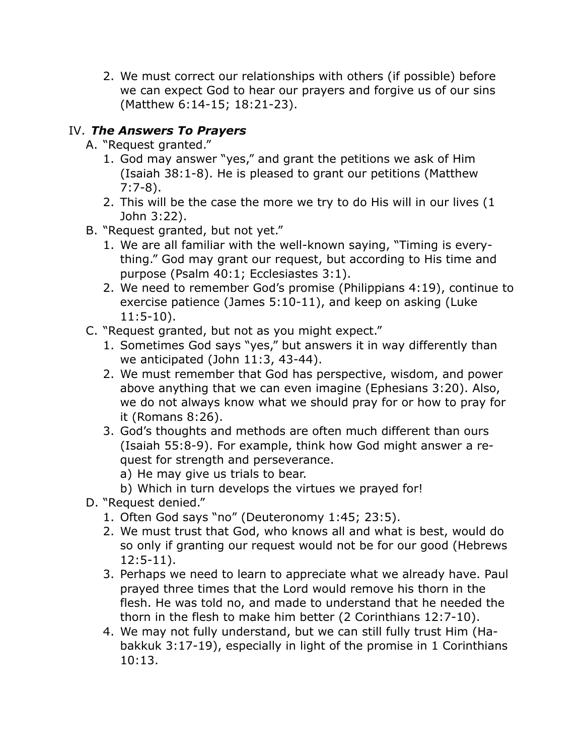2. We must correct our relationships with others (if possible) before we can expect God to hear our prayers and forgive us of our sins (Matthew 6:14-15; 18:21-23).

## IV. *The Answers To Prayers*

- A. "Request granted."
	- 1. God may answer "yes," and grant the petitions we ask of Him (Isaiah 38:1-8). He is pleased to grant our petitions (Matthew 7:7-8).
	- 2. This will be the case the more we try to do His will in our lives (1 John 3:22).
- B. "Request granted, but not yet."
	- 1. We are all familiar with the well-known saying, "Timing is everything." God may grant our request, but according to His time and purpose (Psalm 40:1; Ecclesiastes 3:1).
	- 2. We need to remember God's promise (Philippians 4:19), continue to exercise patience (James 5:10-11), and keep on asking (Luke 11:5-10).
- C. "Request granted, but not as you might expect."
	- 1. Sometimes God says "yes," but answers it in way differently than we anticipated (John 11:3, 43-44).
	- 2. We must remember that God has perspective, wisdom, and power above anything that we can even imagine (Ephesians 3:20). Also, we do not always know what we should pray for or how to pray for it (Romans 8:26).
	- 3. God's thoughts and methods are often much different than ours (Isaiah 55:8-9). For example, think how God might answer a request for strength and perseverance.
		- a) He may give us trials to bear.
		- b) Which in turn develops the virtues we prayed for!
- D. "Request denied."
	- 1. Often God says "no" (Deuteronomy 1:45; 23:5).
	- 2. We must trust that God, who knows all and what is best, would do so only if granting our request would not be for our good (Hebrews 12:5-11).
	- 3. Perhaps we need to learn to appreciate what we already have. Paul prayed three times that the Lord would remove his thorn in the flesh. He was told no, and made to understand that he needed the thorn in the flesh to make him better (2 Corinthians 12:7-10).
	- 4. We may not fully understand, but we can still fully trust Him (Habakkuk 3:17-19), especially in light of the promise in 1 Corinthians  $10:13.$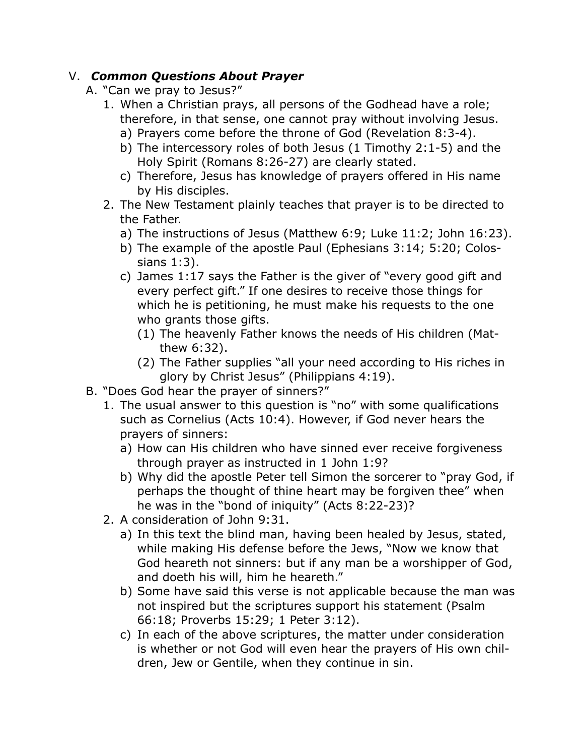### V. *Common Questions About Prayer*

- A. "Can we pray to Jesus?"
	- 1. When a Christian prays, all persons of the Godhead have a role; therefore, in that sense, one cannot pray without involving Jesus.
		- a) Prayers come before the throne of God (Revelation 8:3-4).
		- b) The intercessory roles of both Jesus (1 Timothy 2:1-5) and the Holy Spirit (Romans 8:26-27) are clearly stated.
		- c) Therefore, Jesus has knowledge of prayers offered in His name by His disciples.
	- 2. The New Testament plainly teaches that prayer is to be directed to the Father.
		- a) The instructions of Jesus (Matthew 6:9; Luke 11:2; John 16:23).
		- b) The example of the apostle Paul (Ephesians 3:14; 5:20; Colossians 1:3).
		- c) James 1:17 says the Father is the giver of "every good gift and every perfect gift." If one desires to receive those things for which he is petitioning, he must make his requests to the one who grants those gifts.
			- (1) The heavenly Father knows the needs of His children (Matthew 6:32).
			- (2) The Father supplies "all your need according to His riches in glory by Christ Jesus" (Philippians 4:19).
- B. "Does God hear the prayer of sinners?"
	- 1. The usual answer to this question is "no" with some qualifications such as Cornelius (Acts 10:4). However, if God never hears the prayers of sinners:
		- a) How can His children who have sinned ever receive forgiveness through prayer as instructed in 1 John 1:9?
		- b) Why did the apostle Peter tell Simon the sorcerer to "pray God, if perhaps the thought of thine heart may be forgiven thee" when he was in the "bond of iniquity" (Acts 8:22-23)?
	- 2. A consideration of John 9:31.
		- a) In this text the blind man, having been healed by Jesus, stated, while making His defense before the Jews, "Now we know that God heareth not sinners: but if any man be a worshipper of God, and doeth his will, him he heareth."
		- b) Some have said this verse is not applicable because the man was not inspired but the scriptures support his statement (Psalm 66:18; Proverbs 15:29; 1 Peter 3:12).
		- c) In each of the above scriptures, the matter under consideration is whether or not God will even hear the prayers of His own children, Jew or Gentile, when they continue in sin.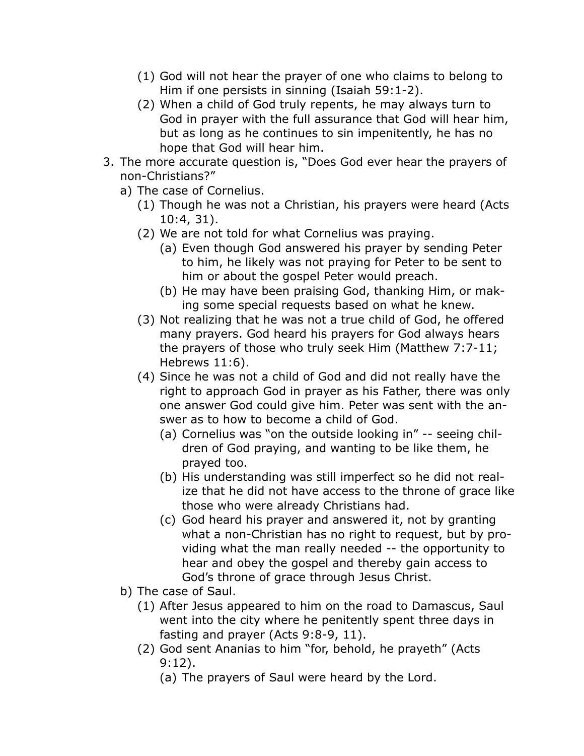- (1) God will not hear the prayer of one who claims to belong to Him if one persists in sinning (Isaiah 59:1-2).
- (2) When a child of God truly repents, he may always turn to God in prayer with the full assurance that God will hear him, but as long as he continues to sin impenitently, he has no hope that God will hear him.
- 3. The more accurate question is, "Does God ever hear the prayers of non-Christians?"
	- a) The case of Cornelius.
		- (1) Though he was not a Christian, his prayers were heard (Acts 10:4, 31).
		- (2) We are not told for what Cornelius was praying.
			- (a) Even though God answered his prayer by sending Peter to him, he likely was not praying for Peter to be sent to him or about the gospel Peter would preach.
			- (b) He may have been praising God, thanking Him, or making some special requests based on what he knew.
		- (3) Not realizing that he was not a true child of God, he offered many prayers. God heard his prayers for God always hears the prayers of those who truly seek Him (Matthew 7:7-11; Hebrews 11:6).
		- (4) Since he was not a child of God and did not really have the right to approach God in prayer as his Father, there was only one answer God could give him. Peter was sent with the answer as to how to become a child of God.
			- (a) Cornelius was "on the outside looking in" -- seeing children of God praying, and wanting to be like them, he prayed too.
			- (b) His understanding was still imperfect so he did not realize that he did not have access to the throne of grace like those who were already Christians had.
			- (c) God heard his prayer and answered it, not by granting what a non-Christian has no right to request, but by providing what the man really needed -- the opportunity to hear and obey the gospel and thereby gain access to God's throne of grace through Jesus Christ.
	- b) The case of Saul.
		- (1) After Jesus appeared to him on the road to Damascus, Saul went into the city where he penitently spent three days in fasting and prayer (Acts 9:8-9, 11).
		- (2) God sent Ananias to him "for, behold, he prayeth" (Acts 9:12).
			- (a) The prayers of Saul were heard by the Lord.